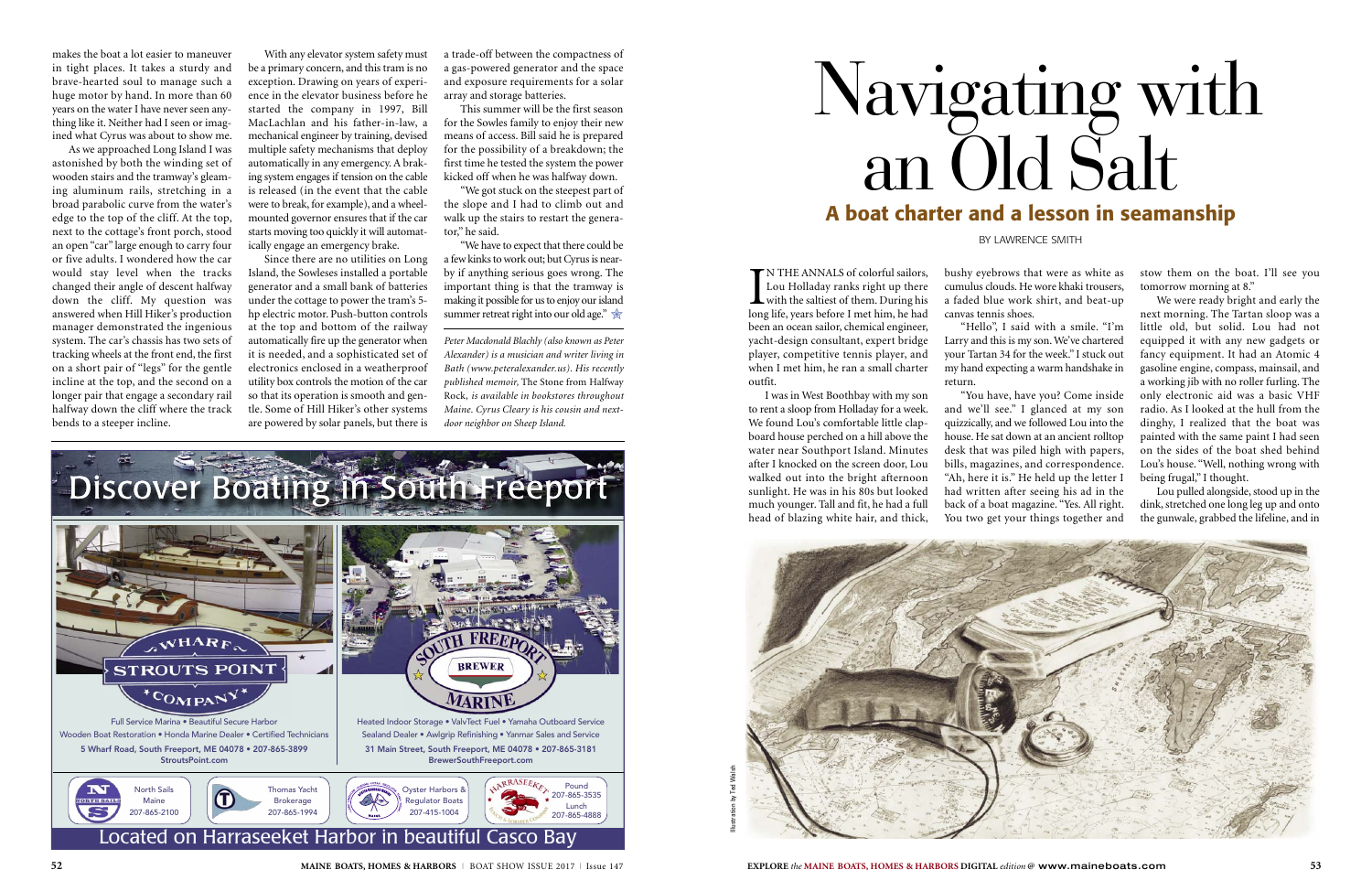IN THE ANNALS of colorful sailors,<br>Lou Holladay ranks right up there<br>with the saltiest of them. During his<br>long life, years before I met him, he had N THE ANNALS of colorful sailors, Lou Holladay ranks right up there with the saltiest of them. During his been an ocean sailor, chemical engineer, yacht-design consultant, expert bridge player, competitive tennis player, and when I met him, he ran a small charter outfit.

I was in West Boothbay with my son to rent a sloop from Holladay for a week. We found Lou's comfortable little clapboard house perched on a hill above the water near Southport Island. Minutes after I knocked on the screen door, Lou walked out into the bright afternoon sunlight. He was in his 80s but looked much younger. Tall and fit, he had a full head of blazing white hair, and thick, bushy eyebrows that were as white as cumulus clouds. He wore khaki trousers, a faded blue work shirt, and beat-up canvas tennis shoes. "Hello", I said with a smile. "I'm

Larry and this is my son. We've chartered your Tartan 34 for the week." I stuck out my hand expecting a warm handshake in

return.

"You have, have you? Come inside and we'll see." I glanced at my son quizzically, and we followed Lou into the house. He sat down at an ancient rolltop desk that was piled high with papers, bills, magazines, and correspondence. "Ah, here it is." He held up the letter I had written after seeing his ad in the back of a boat magazine. "Yes. All right. You two get your things together and

stow them on the boat. I'll see you tomorrow morning at 8."

We were ready bright and early the next morning. The Tartan sloop was a little old, but solid. Lou had not equipped it with any new gadgets or fancy equipment. It had an Atomic 4 gasoline engine, compass, mainsail, and a working jib with no roller furling. The only electronic aid was a basic VHF radio. As I looked at the hull from the dinghy, I realized that the boat was painted with the same paint I had seen on the sides of the boat shed behind Lou's house. "Well, nothing wrong with being frugal," I thought.

Lou pulled alongside, stood up in the dink, stretched one long leg up and onto the gunwale, grabbed the lifeline, and in

## Navigating with an Old Salt **A boat charter and a lesson in seamanship**

BY LAWRENCE SMITH



makes the boat a lot easier to maneuver in tight places. It takes a sturdy and brave-hearted soul to manage such a huge motor by hand. In more than 60 years on the water I have never seen anything like it. Neither had I seen or imagined what Cyrus was about to show me.

> "We have to expect that there could be a few kinks to work out; but Cyrus is nearby if anything serious goes wrong. The important thing is that the tramway is making it possible for us to enjoy our island summer retreat right into our old age."  $\frac{1}{\mathcal{M}}$

As we approached Long Island I was astonished by both the winding set of wooden stairs and the tramway's gleaming aluminum rails, stretching in a broad parabolic curve from the water's edge to the top of the cliff. At the top, next to the cottage's front porch, stood an open "car" large enough to carry four or five adults. I wondered how the car would stay level when the tracks changed their angle of descent halfway down the cliff. My question was answered when Hill Hiker's production manager demonstrated the ingenious system. The car's chassis has two sets of tracking wheels at the front end, the first on a short pair of "legs" for the gentle incline at the top, and the second on a longer pair that engage a secondary rail halfway down the cliff where the track bends to a steeper incline.

With any elevator system safety must be a primary concern, and this tram is no exception. Drawing on years of experience in the elevator business before he started the company in 1997, Bill MacLachlan and his father-in-law, a mechanical engineer by training, devised multiple safety mechanisms that deploy automatically in any emergency. A braking system engages if tension on the cable is released (in the event that the cable were to break, for example), and a wheelmounted governor ensures that if the car starts moving too quickly it will automatically engage an emergency brake.

Since there are no utilities on Long Island, the Sowleses installed a portable generator and a small bank of batteries under the cottage to power the tram's 5 hp electric motor. Push-button controls at the top and bottom of the railway automatically fire up the generator when it is needed, and a sophisticated set of electronics enclosed in a weatherproof utility box controls the motion of the car so that its operation is smooth and gentle. Some of Hill Hiker's other systems are powered by solar panels, but there is a trade-off between the compactness of a gas-powered generator and the space and exposure requirements for a solar array and storage batteries.

This summer will be the first season for the Sowles family to enjoy their new means of access. Bill said he is prepared for the possibility of a breakdown; the first time he tested the system the power kicked off when he was halfway down.

"We got stuck on the steepest part of the slope and I had to climb out and walk up the stairs to restart the generator," he said.

*Peter Macdonald Blachly (also known as Peter Alexander) is a musician and writer living in Bath (www.peteralexander.us). His recently published memoir,* The Stone from Halfway Rock, *is available in bookstores throughout Maine. Cyrus Cleary is his cousin and nextdoor neighbor on Sheep Island.*